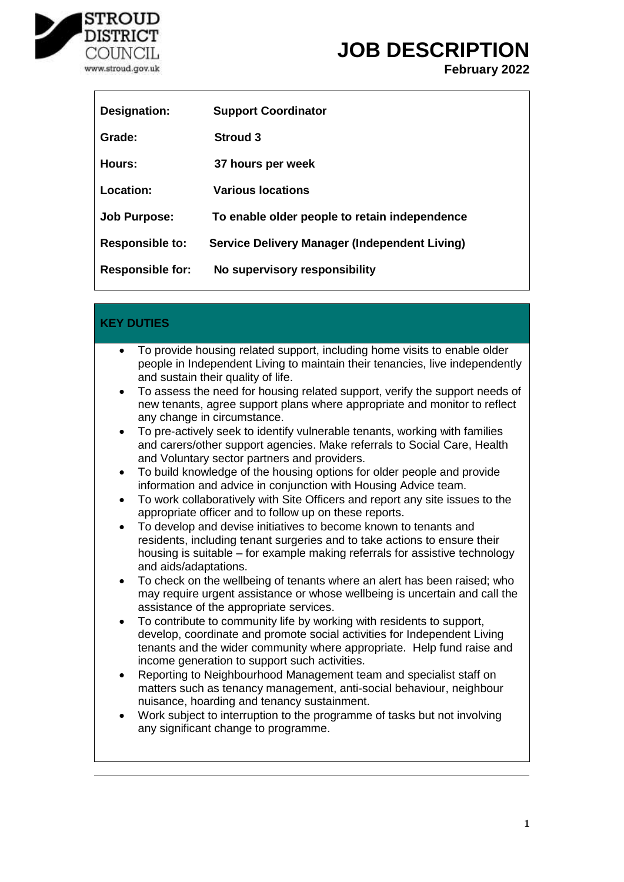

**February 2022**

| Designation:            | <b>Support Coordinator</b>                    |
|-------------------------|-----------------------------------------------|
| Grade:                  | <b>Stroud 3</b>                               |
| Hours:                  | 37 hours per week                             |
| Location:               | <b>Various locations</b>                      |
| <b>Job Purpose:</b>     | To enable older people to retain independence |
| <b>Responsible to:</b>  | Service Delivery Manager (Independent Living) |
| <b>Responsible for:</b> | No supervisory responsibility                 |

| <b>KEY DUTIES</b>                                                                                                                                                                                                                                                                                                                                                                                                                                                                                                                                                                                                                                                                                                                                                                                                                                                                                                                                                                                                                                                                                                                                                                                                                                                                                                                                                                                                                                                                                                                                                                                                                                                                                                                                                                                                                                                                                                                                                                                                                     |
|---------------------------------------------------------------------------------------------------------------------------------------------------------------------------------------------------------------------------------------------------------------------------------------------------------------------------------------------------------------------------------------------------------------------------------------------------------------------------------------------------------------------------------------------------------------------------------------------------------------------------------------------------------------------------------------------------------------------------------------------------------------------------------------------------------------------------------------------------------------------------------------------------------------------------------------------------------------------------------------------------------------------------------------------------------------------------------------------------------------------------------------------------------------------------------------------------------------------------------------------------------------------------------------------------------------------------------------------------------------------------------------------------------------------------------------------------------------------------------------------------------------------------------------------------------------------------------------------------------------------------------------------------------------------------------------------------------------------------------------------------------------------------------------------------------------------------------------------------------------------------------------------------------------------------------------------------------------------------------------------------------------------------------------|
| To provide housing related support, including home visits to enable older<br>$\bullet$<br>people in Independent Living to maintain their tenancies, live independently<br>and sustain their quality of life.<br>To assess the need for housing related support, verify the support needs of<br>new tenants, agree support plans where appropriate and monitor to reflect<br>any change in circumstance.<br>To pre-actively seek to identify vulnerable tenants, working with families<br>and carers/other support agencies. Make referrals to Social Care, Health<br>and Voluntary sector partners and providers.<br>To build knowledge of the housing options for older people and provide<br>information and advice in conjunction with Housing Advice team.<br>To work collaboratively with Site Officers and report any site issues to the<br>$\bullet$<br>appropriate officer and to follow up on these reports.<br>To develop and devise initiatives to become known to tenants and<br>$\bullet$<br>residents, including tenant surgeries and to take actions to ensure their<br>housing is suitable – for example making referrals for assistive technology<br>and aids/adaptations.<br>To check on the wellbeing of tenants where an alert has been raised; who<br>٠<br>may require urgent assistance or whose wellbeing is uncertain and call the<br>assistance of the appropriate services.<br>To contribute to community life by working with residents to support,<br>$\bullet$<br>develop, coordinate and promote social activities for Independent Living<br>tenants and the wider community where appropriate. Help fund raise and<br>income generation to support such activities.<br>Reporting to Neighbourhood Management team and specialist staff on<br>٠<br>matters such as tenancy management, anti-social behaviour, neighbour<br>nuisance, hoarding and tenancy sustainment.<br>Work subject to interruption to the programme of tasks but not involving<br>$\bullet$<br>any significant change to programme. |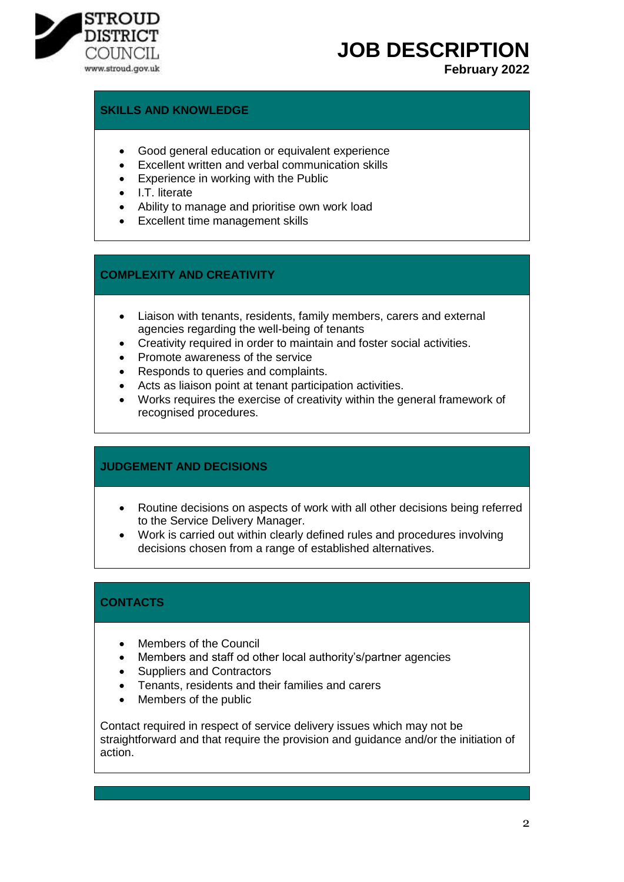

# **JOB DESCRIPTION**

# **February 2022**

### **SKILLS AND KNOWLEDGE**

- Good general education or equivalent experience
- Excellent written and verbal communication skills
- Experience in working with the Public
- I.T. literate
- Ability to manage and prioritise own work load
- Excellent time management skills

### **COMPLEXITY AND CREATIVITY**

- Liaison with tenants, residents, family members, carers and external agencies regarding the well-being of tenants
- Creativity required in order to maintain and foster social activities.
- Promote awareness of the service
- Responds to queries and complaints.
- Acts as liaison point at tenant participation activities.
- Works requires the exercise of creativity within the general framework of recognised procedures.

# **JUDGEMENT AND DECISIONS**

- Routine decisions on aspects of work with all other decisions being referred to the Service Delivery Manager.
- Work is carried out within clearly defined rules and procedures involving decisions chosen from a range of established alternatives.

# **CONTACTS**

- Members of the Council
- Members and staff od other local authority's/partner agencies
- Suppliers and Contractors
- Tenants, residents and their families and carers
- Members of the public

Contact required in respect of service delivery issues which may not be straightforward and that require the provision and guidance and/or the initiation of action.